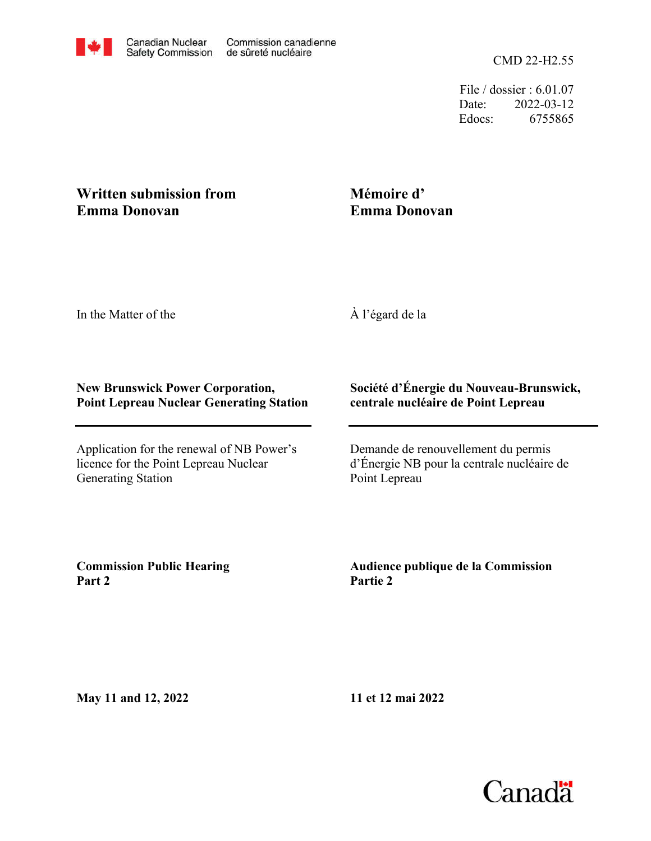File / dossier : 6.01.07 Date: 2022-03-12 Edocs: 6755865

## **Written submission from Emma Donovan**

## **Mémoire d' Emma Donovan**

In the Matter of the

À l'égard de la

## **New Brunswick Power Corporation, Point Lepreau Nuclear Generating Station**

Application for the renewal of NB Power's licence for the Point Lepreau Nuclear Generating Station

## **Société d'Énergie du Nouveau-Brunswick, centrale nucléaire de Point Lepreau**

Demande de renouvellement du permis d'Énergie NB pour la centrale nucléaire de Point Lepreau

**Commission Public Hearing Part 2**

**Audience publique de la Commission Partie 2**

**May 11 and 12, 2022**

**11 et 12 mai 2022**